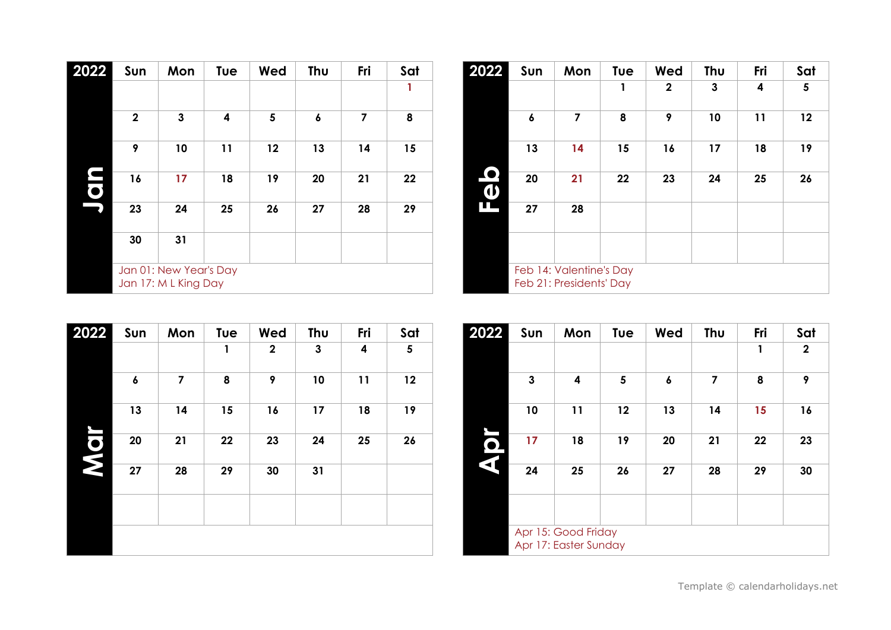| 2022 | Sun          | Mon                                            | Tue | Wed | Thu | Fri | Sat |
|------|--------------|------------------------------------------------|-----|-----|-----|-----|-----|
|      |              |                                                |     |     |     |     | 1   |
|      | $\mathbf{2}$ | 3                                              | 4   | 5   | 6   | 7   | 8   |
|      | 9            | 10                                             | 11  | 12  | 13  | 14  | 15  |
| E    | 16           | 17                                             | 18  | 19  | 20  | 21  | 22  |
|      | 23           | 24                                             | 25  | 26  | 27  | 28  | 29  |
|      | 30           | 31                                             |     |     |     |     |     |
|      |              | Jan 01: New Year's Day<br>Jan 17: M L King Day |     |     |     |     |     |

| 2022                  | Sun | Mon                                                | Tue | Wed         | Thu | Fri | Sat |
|-----------------------|-----|----------------------------------------------------|-----|-------------|-----|-----|-----|
|                       |     |                                                    | 1   | $\mathbf 2$ | 3   | 4   | 5   |
|                       | 6   | 7                                                  | 8   | 9           | 10  | 11  | 12  |
|                       | 13  | 14                                                 | 15  | 16          | 17  | 18  | 19  |
| $\boldsymbol{\omega}$ | 20  | 21                                                 | 22  | 23          | 24  | 25  | 26  |
| Π                     | 27  | 28                                                 |     |             |     |     |     |
|                       |     |                                                    |     |             |     |     |     |
|                       |     | Feb 14: Valentine's Day<br>Feb 21: Presidents' Day |     |             |     |     |     |

| 2022 | Sun | Mon | Tue | Wed         | Thu | Fri | Sat |
|------|-----|-----|-----|-------------|-----|-----|-----|
|      |     |     | 1   | $\mathbf 2$ | 3   | 4   | 5   |
|      | 6   | 7   | 8   | 9           | 10  | 11  | 12  |
|      | 13  | 14  | 15  | 16          | 17  | 18  | 19  |
| g    | 20  | 21  | 22  | 23          | 24  | 25  | 26  |
|      | 27  | 28  | 29  | 30          | 31  |     |     |
|      |     |     |     |             |     |     |     |
|      |     |     |     |             |     |     |     |

| 2022                                 | Sun | Mon                                          | Tue | Wed | Thu | Fri | Sat         |
|--------------------------------------|-----|----------------------------------------------|-----|-----|-----|-----|-------------|
|                                      |     |                                              |     |     |     | 1   | $\mathbf 2$ |
|                                      | 3   | 4                                            | 5   | 6   | 7   | 8   | 9           |
|                                      | 10  | 11                                           | 12  | 13  | 14  | 15  | 16          |
| <u>ဂ</u><br>$\overline{\mathcal{L}}$ | 17  | 18                                           | 19  | 20  | 21  | 22  | 23          |
|                                      | 24  | 25                                           | 26  | 27  | 28  | 29  | 30          |
|                                      |     |                                              |     |     |     |     |             |
|                                      |     | Apr 15: Good Friday<br>Apr 17: Easter Sunday |     |     |     |     |             |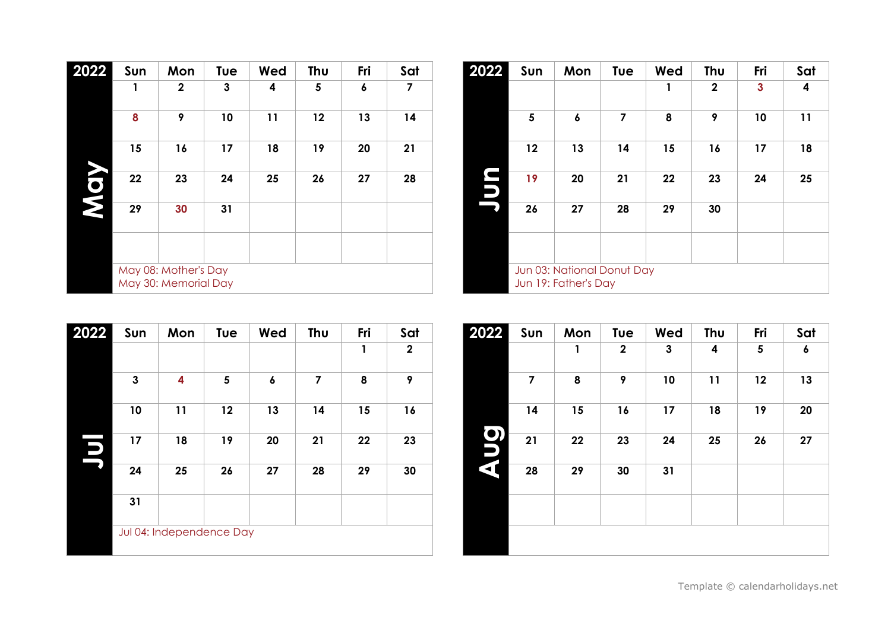| 2022      | Sun | Mon                                          | Tue | Wed | Thu | Fri | Sat |
|-----------|-----|----------------------------------------------|-----|-----|-----|-----|-----|
|           | 1   | $\mathbf{2}$                                 | 3   | 4   | 5   | 6   | 7   |
|           | 8   | 9                                            | 10  | 11  | 12  | 13  | 14  |
|           | 15  | 16                                           | 17  | 18  | 19  | 20  | 21  |
| <b>DN</b> | 22  | 23                                           | 24  | 25  | 26  | 27  | 28  |
|           | 29  | 30                                           | 31  |     |     |     |     |
|           |     |                                              |     |     |     |     |     |
|           |     | May 08: Mother's Day<br>May 30: Memorial Day |     |     |     |     |     |

| 2022           | Sun | Mon                      | Tue | Wed | Thu | Fri | Sat         |
|----------------|-----|--------------------------|-----|-----|-----|-----|-------------|
|                |     |                          |     |     |     | 1   | $\mathbf 2$ |
|                | 3   | 4                        | 5   | 6   | 7   | 8   | 9           |
|                | 10  | 11                       | 12  | 13  | 14  | 15  | 16          |
| $\blacksquare$ | 17  | 18                       | 19  | 20  | 21  | 22  | 23          |
|                | 24  | 25                       | 26  | 27  | 28  | 29  | 30          |
|                | 31  |                          |     |     |     |     |             |
|                |     | Jul 04: Independence Day |     |     |     |     |             |

| 2022        | Sun | Mon                                                | Tue | Wed | Thu          | Fri          | Sat |
|-------------|-----|----------------------------------------------------|-----|-----|--------------|--------------|-----|
|             |     |                                                    |     | 1   | $\mathbf{2}$ | $\mathbf{3}$ | 4   |
|             | 5   | 6                                                  | 7   | 8   | 9            | 10           | 11  |
|             | 12  | 13                                                 | 14  | 15  | 16           | 17           | 18  |
| Ľ<br>$\Box$ | 19  | 20                                                 | 21  | 22  | 23           | 24           | 25  |
|             | 26  | 27                                                 | 28  | 29  | 30           |              |     |
|             |     |                                                    |     |     |              |              |     |
|             |     | Jun 03: National Donut Day<br>Jun 19: Father's Day |     |     |              |              |     |

| 2022                       | Sun | Mon | Tue         | Wed | Thu | Fri | Sat |
|----------------------------|-----|-----|-------------|-----|-----|-----|-----|
|                            |     | 1   | $\mathbf 2$ | 3   | 4   | 5   | 6   |
|                            | 7   | 8   | 9           | 10  | 11  | 12  | 13  |
|                            | 14  | 15  | 16          | 17  | 18  | 19  | 20  |
| <b>D</b><br>D<br>$\vec{a}$ | 21  | 22  | 23          | 24  | 25  | 26  | 27  |
|                            | 28  | 29  | 30          | 31  |     |     |     |
|                            |     |     |             |     |     |     |     |
|                            |     |     |             |     |     |     |     |